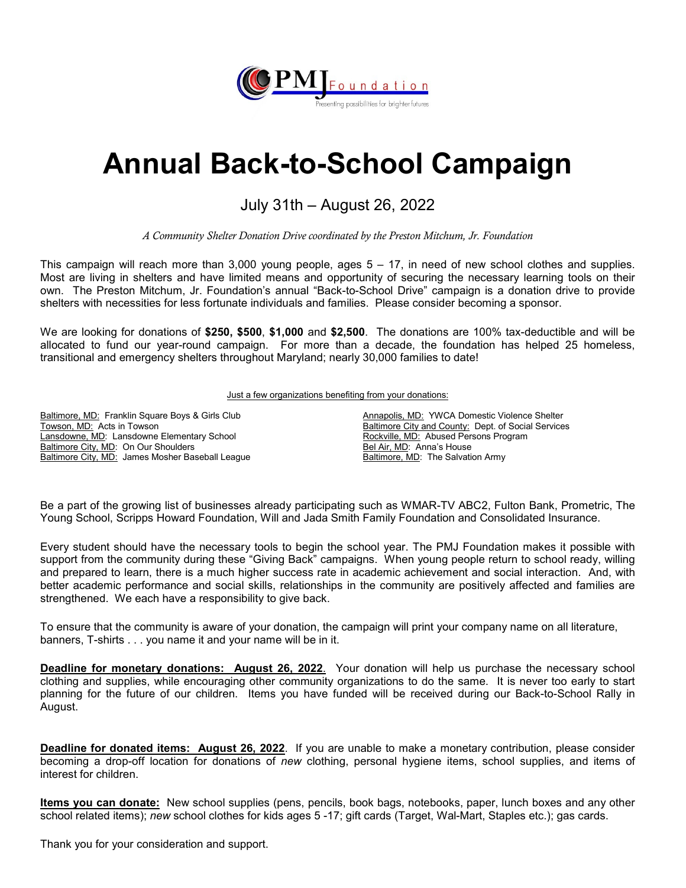

## **Annual Back-to-School Campaign**

## July 31th – August 26, 2022

*A Community Shelter Donation Drive coordinated by the Preston Mitchum, Jr. Foundation*

This campaign will reach more than 3,000 young people, ages 5 – 17, in need of new school clothes and supplies. Most are living in shelters and have limited means and opportunity of securing the necessary learning tools on their own. The Preston Mitchum, Jr. Foundation's annual "Back-to-School Drive" campaign is a donation drive to provide shelters with necessities for less fortunate individuals and families. Please consider becoming a sponsor.

We are looking for donations of **\$250, \$500**, **\$1,000** and **\$2,500**. The donations are 100% tax-deductible and will be allocated to fund our year-round campaign. For more than a decade, the foundation has helped 25 homeless, transitional and emergency shelters throughout Maryland; nearly 30,000 families to date!

Just a few organizations benefiting from your donations:

Baltimore, MD: Franklin Square Boys & Girls Club Towson, MD: Acts in Towson Lansdowne, MD: Lansdowne Elementary School Baltimore City, MD: On Our Shoulders Baltimore City, MD: James Mosher Baseball League

Annapolis, MD: YWCA Domestic Violence Shelter Baltimore City and County: Dept. of Social Services Rockville, MD: Abused Persons Program Bel Air, MD: Anna's House Baltimore, MD: The Salvation Army

Be a part of the growing list of businesses already participating such as WMAR-TV ABC2, Fulton Bank, Prometric, The Young School, Scripps Howard Foundation, Will and Jada Smith Family Foundation and Consolidated Insurance.

Every student should have the necessary tools to begin the school year. The PMJ Foundation makes it possible with support from the community during these "Giving Back" campaigns. When young people return to school ready, willing and prepared to learn, there is a much higher success rate in academic achievement and social interaction. And, with better academic performance and social skills, relationships in the community are positively affected and families are strengthened. We each have a responsibility to give back.

To ensure that the community is aware of your donation, the campaign will print your company name on all literature, banners, T-shirts . . . you name it and your name will be in it.

**Deadline for monetary donations: August 26, 2022**. Your donation will help us purchase the necessary school clothing and supplies, while encouraging other community organizations to do the same. It is never too early to start planning for the future of our children. Items you have funded will be received during our Back-to-School Rally in August.

**Deadline for donated items: August 26, 2022**. If you are unable to make a monetary contribution, please consider becoming a drop-off location for donations of *new* clothing, personal hygiene items, school supplies, and items of interest for children.

**Items you can donate:** New school supplies (pens, pencils, book bags, notebooks, paper, lunch boxes and any other school related items); *new* school clothes for kids ages 5 -17; gift cards (Target, Wal-Mart, Staples etc.); gas cards.

Thank you for your consideration and support.